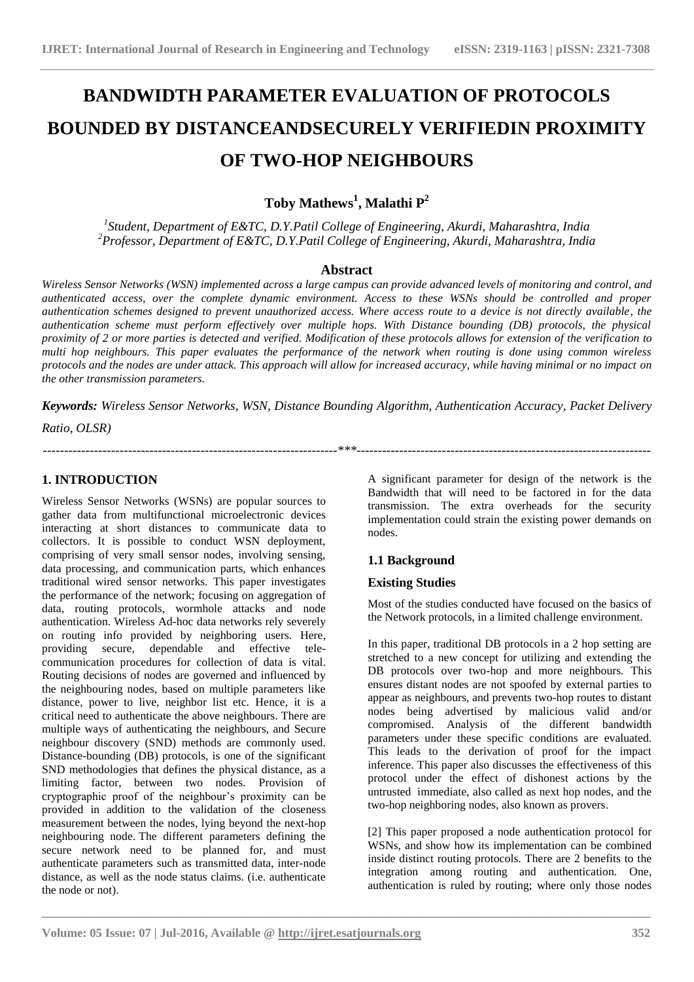# **BANDWIDTH PARAMETER EVALUATION OF PROTOCOLS BOUNDED BY DISTANCEANDSECURELY VERIFIEDIN PROXIMITY OF TWO-HOP NEIGHBOURS**

## **Toby Mathews<sup>1</sup> , Malathi P<sup>2</sup>**

*1 Student, Department of E&TC, D.Y.Patil College of Engineering, Akurdi, Maharashtra, India <sup>2</sup>Professor, Department of E&TC, D.Y.Patil College of Engineering, Akurdi, Maharashtra, India*

#### **Abstract**

*Wireless Sensor Networks (WSN) implemented across a large campus can provide advanced levels of monitoring and control, and authenticated access, over the complete dynamic environment. Access to these WSNs should be controlled and proper authentication schemes designed to prevent unauthorized access. Where access route to a device is not directly available, the authentication scheme must perform effectively over multiple hops. With Distance bounding (DB) protocols, the physical proximity of 2 or more parties is detected and verified. Modification of these protocols allows for extension of the verification to multi hop neighbours. This paper evaluates the performance of the network when routing is done using common wireless protocols and the nodes are under attack. This approach will allow for increased accuracy, while having minimal or no impact on the other transmission parameters.*

*Keywords: Wireless Sensor Networks, WSN, Distance Bounding Algorithm, Authentication Accuracy, Packet Delivery* 

*---------------------------------------------------------------------\*\*\*---------------------------------------------------------------------*

**\_\_\_\_\_\_\_\_\_\_\_\_\_\_\_\_\_\_\_\_\_\_\_\_\_\_\_\_\_\_\_\_\_\_\_\_\_\_\_\_\_\_\_\_\_\_\_\_\_\_\_\_\_\_\_\_\_\_\_\_\_\_\_\_\_\_\_\_\_\_\_\_\_\_\_\_\_\_\_\_\_\_\_\_\_\_\_\_\_\_\_\_\_\_\_**

*Ratio, OLSR)*

## **1. INTRODUCTION**

Wireless Sensor Networks (WSNs) are popular sources to gather data from multifunctional microelectronic devices interacting at short distances to communicate data to collectors. It is possible to conduct WSN deployment, comprising of very small sensor nodes, involving sensing, data processing, and communication parts, which enhances traditional wired sensor networks. This paper investigates the performance of the network; focusing on aggregation of data, routing protocols, wormhole attacks and node authentication. Wireless Ad-hoc data networks rely severely on routing info provided by neighboring users. Here, providing secure, dependable and effective telecommunication procedures for collection of data is vital. Routing decisions of nodes are governed and influenced by the neighbouring nodes, based on multiple parameters like distance, power to live, neighbor list etc. Hence, it is a critical need to authenticate the above neighbours. There are multiple ways of authenticating the neighbours, and Secure neighbour discovery (SND) methods are commonly used. Distance-bounding (DB) protocols, is one of the significant SND methodologies that defines the physical distance, as a limiting factor, between two nodes. Provision of cryptographic proof of the neighbour's proximity can be provided in addition to the validation of the closeness measurement between the nodes, lying beyond the next-hop neighbouring node. The different parameters defining the secure network need to be planned for, and must authenticate parameters such as transmitted data, inter-node distance, as well as the node status claims. (i.e. authenticate the node or not).

A significant parameter for design of the network is the Bandwidth that will need to be factored in for the data transmission. The extra overheads for the security implementation could strain the existing power demands on nodes.

## **1.1 Background**

#### **Existing Studies**

Most of the studies conducted have focused on the basics of the Network protocols, in a limited challenge environment.

In this paper, traditional DB protocols in a 2 hop setting are stretched to a new concept for utilizing and extending the DB protocols over two-hop and more neighbours. This ensures distant nodes are not spoofed by external parties to appear as neighbours, and prevents two-hop routes to distant nodes being advertised by malicious valid and/or compromised. Analysis of the different bandwidth parameters under these specific conditions are evaluated. This leads to the derivation of proof for the impact inference. This paper also discusses the effectiveness of this protocol under the effect of dishonest actions by the untrusted immediate, also called as next hop nodes, and the two-hop neighboring nodes, also known as provers.

[2] This paper proposed a node authentication protocol for WSNs, and show how its implementation can be combined inside distinct routing protocols. There are 2 benefits to the integration among routing and authentication. One, authentication is ruled by routing; where only those nodes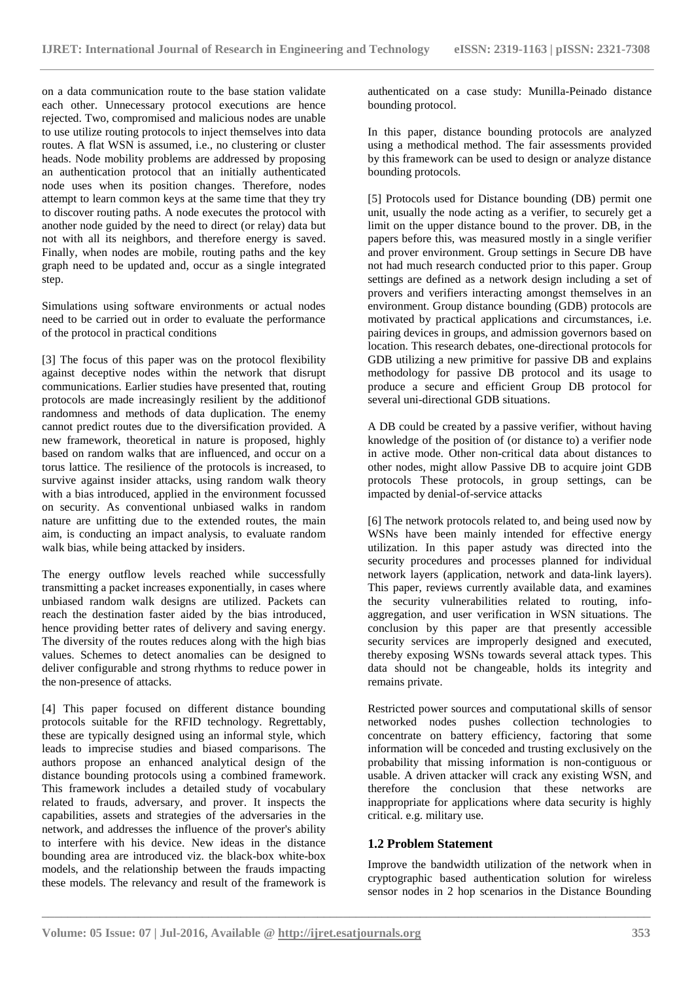on a data communication route to the base station validate each other. Unnecessary protocol executions are hence rejected. Two, compromised and malicious nodes are unable to use utilize routing protocols to inject themselves into data routes. A flat WSN is assumed, i.e., no clustering or cluster heads. Node mobility problems are addressed by proposing an authentication protocol that an initially authenticated node uses when its position changes. Therefore, nodes attempt to learn common keys at the same time that they try to discover routing paths. A node executes the protocol with another node guided by the need to direct (or relay) data but not with all its neighbors, and therefore energy is saved. Finally, when nodes are mobile, routing paths and the key graph need to be updated and, occur as a single integrated step.

Simulations using software environments or actual nodes need to be carried out in order to evaluate the performance of the protocol in practical conditions

[3] The focus of this paper was on the protocol flexibility against deceptive nodes within the network that disrupt communications. Earlier studies have presented that, routing protocols are made increasingly resilient by the additionof randomness and methods of data duplication. The enemy cannot predict routes due to the diversification provided. A new framework, theoretical in nature is proposed, highly based on random walks that are influenced, and occur on a torus lattice. The resilience of the protocols is increased, to survive against insider attacks, using random walk theory with a bias introduced, applied in the environment focussed on security. As conventional unbiased walks in random nature are unfitting due to the extended routes, the main aim, is conducting an impact analysis, to evaluate random walk bias, while being attacked by insiders.

The energy outflow levels reached while successfully transmitting a packet increases exponentially, in cases where unbiased random walk designs are utilized. Packets can reach the destination faster aided by the bias introduced, hence providing better rates of delivery and saving energy. The diversity of the routes reduces along with the high bias values. Schemes to detect anomalies can be designed to deliver configurable and strong rhythms to reduce power in the non-presence of attacks.

[4] This paper focused on different distance bounding protocols suitable for the RFID technology. Regrettably, these are typically designed using an informal style, which leads to imprecise studies and biased comparisons. The authors propose an enhanced analytical design of the distance bounding protocols using a combined framework. This framework includes a detailed study of vocabulary related to frauds, adversary, and prover. It inspects the capabilities, assets and strategies of the adversaries in the network, and addresses the influence of the prover's ability to interfere with his device. New ideas in the distance bounding area are introduced viz. the black-box white-box models, and the relationship between the frauds impacting these models. The relevancy and result of the framework is

authenticated on a case study: Munilla-Peinado distance bounding protocol.

In this paper, distance bounding protocols are analyzed using a methodical method. The fair assessments provided by this framework can be used to design or analyze distance bounding protocols.

[5] Protocols used for Distance bounding (DB) permit one unit, usually the node acting as a verifier, to securely get a limit on the upper distance bound to the prover. DB, in the papers before this, was measured mostly in a single verifier and prover environment. Group settings in Secure DB have not had much research conducted prior to this paper. Group settings are defined as a network design including a set of provers and verifiers interacting amongst themselves in an environment. Group distance bounding (GDB) protocols are motivated by practical applications and circumstances, i.e. pairing devices in groups, and admission governors based on location. This research debates, one-directional protocols for GDB utilizing a new primitive for passive DB and explains methodology for passive DB protocol and its usage to produce a secure and efficient Group DB protocol for several uni-directional GDB situations.

A DB could be created by a passive verifier, without having knowledge of the position of (or distance to) a verifier node in active mode. Other non-critical data about distances to other nodes, might allow Passive DB to acquire joint GDB protocols These protocols, in group settings, can be impacted by denial-of-service attacks

[6] The network protocols related to, and being used now by WSNs have been mainly intended for effective energy utilization. In this paper astudy was directed into the security procedures and processes planned for individual network layers (application, network and data-link layers). This paper, reviews currently available data, and examines the security vulnerabilities related to routing, infoaggregation, and user verification in WSN situations. The conclusion by this paper are that presently accessible security services are improperly designed and executed, thereby exposing WSNs towards several attack types. This data should not be changeable, holds its integrity and remains private.

Restricted power sources and computational skills of sensor networked nodes pushes collection technologies to concentrate on battery efficiency, factoring that some information will be conceded and trusting exclusively on the probability that missing information is non-contiguous or usable. A driven attacker will crack any existing WSN, and therefore the conclusion that these networks are inappropriate for applications where data security is highly critical. e.g. military use.

#### **1.2 Problem Statement**

**\_\_\_\_\_\_\_\_\_\_\_\_\_\_\_\_\_\_\_\_\_\_\_\_\_\_\_\_\_\_\_\_\_\_\_\_\_\_\_\_\_\_\_\_\_\_\_\_\_\_\_\_\_\_\_\_\_\_\_\_\_\_\_\_\_\_\_\_\_\_\_\_\_\_\_\_\_\_\_\_\_\_\_\_\_\_\_\_\_\_\_\_\_\_\_**

Improve the bandwidth utilization of the network when in cryptographic based authentication solution for wireless sensor nodes in 2 hop scenarios in the Distance Bounding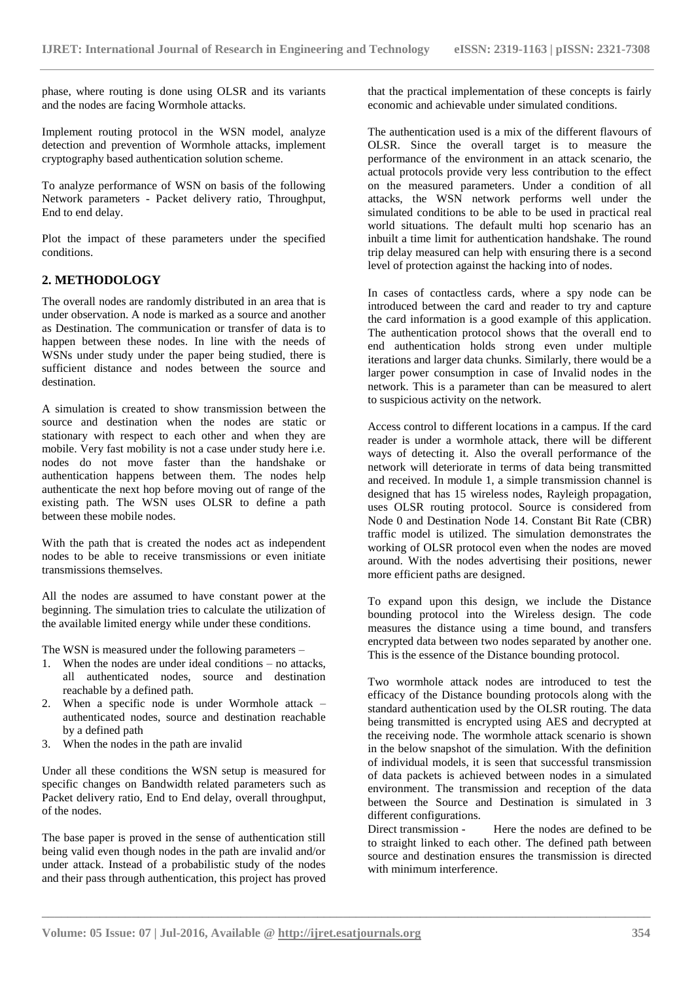phase, where routing is done using OLSR and its variants and the nodes are facing Wormhole attacks.

Implement routing protocol in the WSN model, analyze detection and prevention of Wormhole attacks, implement cryptography based authentication solution scheme.

To analyze performance of WSN on basis of the following Network parameters - Packet delivery ratio, Throughput, End to end delay.

Plot the impact of these parameters under the specified conditions.

#### **2. METHODOLOGY**

The overall nodes are randomly distributed in an area that is under observation. A node is marked as a source and another as Destination. The communication or transfer of data is to happen between these nodes. In line with the needs of WSNs under study under the paper being studied, there is sufficient distance and nodes between the source and destination.

A simulation is created to show transmission between the source and destination when the nodes are static or stationary with respect to each other and when they are mobile. Very fast mobility is not a case under study here i.e. nodes do not move faster than the handshake or authentication happens between them. The nodes help authenticate the next hop before moving out of range of the existing path. The WSN uses OLSR to define a path between these mobile nodes.

With the path that is created the nodes act as independent nodes to be able to receive transmissions or even initiate transmissions themselves.

All the nodes are assumed to have constant power at the beginning. The simulation tries to calculate the utilization of the available limited energy while under these conditions.

The WSN is measured under the following parameters –

- 1. When the nodes are under ideal conditions no attacks, all authenticated nodes, source and destination reachable by a defined path.
- 2. When a specific node is under Wormhole attack authenticated nodes, source and destination reachable by a defined path
- 3. When the nodes in the path are invalid

Under all these conditions the WSN setup is measured for specific changes on Bandwidth related parameters such as Packet delivery ratio, End to End delay, overall throughput, of the nodes.

The base paper is proved in the sense of authentication still being valid even though nodes in the path are invalid and/or under attack. Instead of a probabilistic study of the nodes and their pass through authentication, this project has proved that the practical implementation of these concepts is fairly economic and achievable under simulated conditions.

The authentication used is a mix of the different flavours of OLSR. Since the overall target is to measure the performance of the environment in an attack scenario, the actual protocols provide very less contribution to the effect on the measured parameters. Under a condition of all attacks, the WSN network performs well under the simulated conditions to be able to be used in practical real world situations. The default multi hop scenario has an inbuilt a time limit for authentication handshake. The round trip delay measured can help with ensuring there is a second level of protection against the hacking into of nodes.

In cases of contactless cards, where a spy node can be introduced between the card and reader to try and capture the card information is a good example of this application. The authentication protocol shows that the overall end to end authentication holds strong even under multiple iterations and larger data chunks. Similarly, there would be a larger power consumption in case of Invalid nodes in the network. This is a parameter than can be measured to alert to suspicious activity on the network.

Access control to different locations in a campus. If the card reader is under a wormhole attack, there will be different ways of detecting it. Also the overall performance of the network will deteriorate in terms of data being transmitted and received. In module 1, a simple transmission channel is designed that has 15 wireless nodes, Rayleigh propagation, uses OLSR routing protocol. Source is considered from Node 0 and Destination Node 14. Constant Bit Rate (CBR) traffic model is utilized. The simulation demonstrates the working of OLSR protocol even when the nodes are moved around. With the nodes advertising their positions, newer more efficient paths are designed.

To expand upon this design, we include the Distance bounding protocol into the Wireless design. The code measures the distance using a time bound, and transfers encrypted data between two nodes separated by another one. This is the essence of the Distance bounding protocol.

Two wormhole attack nodes are introduced to test the efficacy of the Distance bounding protocols along with the standard authentication used by the OLSR routing. The data being transmitted is encrypted using AES and decrypted at the receiving node. The wormhole attack scenario is shown in the below snapshot of the simulation. With the definition of individual models, it is seen that successful transmission of data packets is achieved between nodes in a simulated environment. The transmission and reception of the data between the Source and Destination is simulated in 3 different configurations.

Direct transmission - Here the nodes are defined to be to straight linked to each other. The defined path between source and destination ensures the transmission is directed with minimum interference.

**\_\_\_\_\_\_\_\_\_\_\_\_\_\_\_\_\_\_\_\_\_\_\_\_\_\_\_\_\_\_\_\_\_\_\_\_\_\_\_\_\_\_\_\_\_\_\_\_\_\_\_\_\_\_\_\_\_\_\_\_\_\_\_\_\_\_\_\_\_\_\_\_\_\_\_\_\_\_\_\_\_\_\_\_\_\_\_\_\_\_\_\_\_\_\_**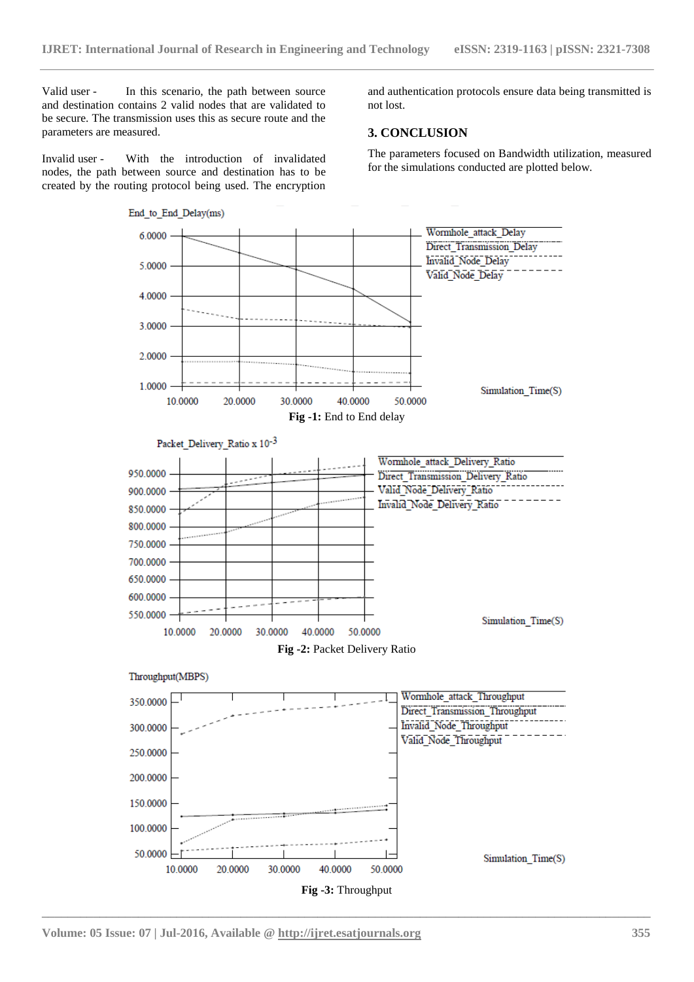Valid user - In this scenario, the path between source and destination contains 2 valid nodes that are validated to be secure. The transmission uses this as secure route and the parameters are measured.

Invalid user - With the introduction of invalidated nodes, the path between source and destination has to be created by the routing protocol being used. The encryption

and authentication protocols ensure data being transmitted is not lost.

#### **3. CONCLUSION**

The parameters focused on Bandwidth utilization, measured for the simulations conducted are plotted below.